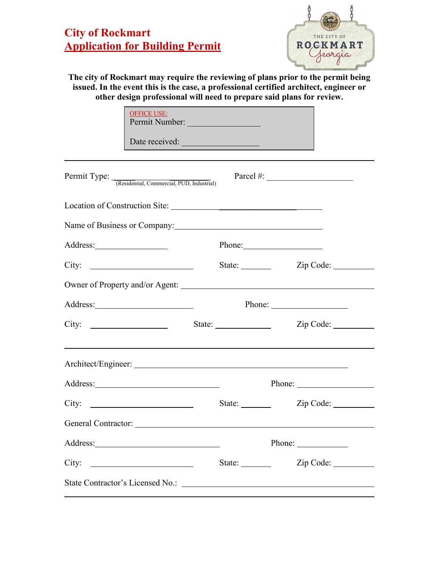## **City of Rockmart Application for Building Permit**



**The city of Rockmart may require the reviewing of plans prior to the permit being issued. In the event this is the case, a professional certified architect, engineer or other design professional will need to prepare said plans for review.**

| <b>OFFICE USE:</b>                                  | Permit Number:                                            |                                                                                                                                                                                                                                                                                                                                                                                                              |  |
|-----------------------------------------------------|-----------------------------------------------------------|--------------------------------------------------------------------------------------------------------------------------------------------------------------------------------------------------------------------------------------------------------------------------------------------------------------------------------------------------------------------------------------------------------------|--|
|                                                     | Date received:                                            |                                                                                                                                                                                                                                                                                                                                                                                                              |  |
| Permit Type: <b>The Commercial, PUD, Industrial</b> |                                                           | Parcel #: $\qquad \qquad$                                                                                                                                                                                                                                                                                                                                                                                    |  |
|                                                     |                                                           |                                                                                                                                                                                                                                                                                                                                                                                                              |  |
| Name of Business or Company:                        |                                                           |                                                                                                                                                                                                                                                                                                                                                                                                              |  |
|                                                     |                                                           | Phone: 2008                                                                                                                                                                                                                                                                                                                                                                                                  |  |
|                                                     |                                                           | State: <u>Zip Code:</u>                                                                                                                                                                                                                                                                                                                                                                                      |  |
|                                                     |                                                           |                                                                                                                                                                                                                                                                                                                                                                                                              |  |
|                                                     |                                                           | Phone: $\frac{1}{\sqrt{1-\frac{1}{2}}\sqrt{1-\frac{1}{2}}\sqrt{1-\frac{1}{2}}\sqrt{1-\frac{1}{2}}\sqrt{1-\frac{1}{2}}\sqrt{1-\frac{1}{2}}\sqrt{1-\frac{1}{2}}\sqrt{1-\frac{1}{2}}\sqrt{1-\frac{1}{2}}\sqrt{1-\frac{1}{2}}\sqrt{1-\frac{1}{2}}\sqrt{1-\frac{1}{2}}\sqrt{1-\frac{1}{2}}\sqrt{1-\frac{1}{2}}\sqrt{1-\frac{1}{2}}\sqrt{1-\frac{1}{2}}\sqrt{1-\frac{1}{2}}\sqrt{1-\frac{1}{2}}\sqrt{1-\frac{1}{2$ |  |
| City:                                               |                                                           | Zip Code: ___________                                                                                                                                                                                                                                                                                                                                                                                        |  |
|                                                     |                                                           |                                                                                                                                                                                                                                                                                                                                                                                                              |  |
|                                                     |                                                           |                                                                                                                                                                                                                                                                                                                                                                                                              |  |
|                                                     | State: $\frac{1}{\sqrt{1-\frac{1}{2}} \cdot \frac{1}{2}}$ |                                                                                                                                                                                                                                                                                                                                                                                                              |  |
|                                                     |                                                           |                                                                                                                                                                                                                                                                                                                                                                                                              |  |
|                                                     |                                                           |                                                                                                                                                                                                                                                                                                                                                                                                              |  |
|                                                     | State:                                                    | Zip Code:                                                                                                                                                                                                                                                                                                                                                                                                    |  |
|                                                     |                                                           |                                                                                                                                                                                                                                                                                                                                                                                                              |  |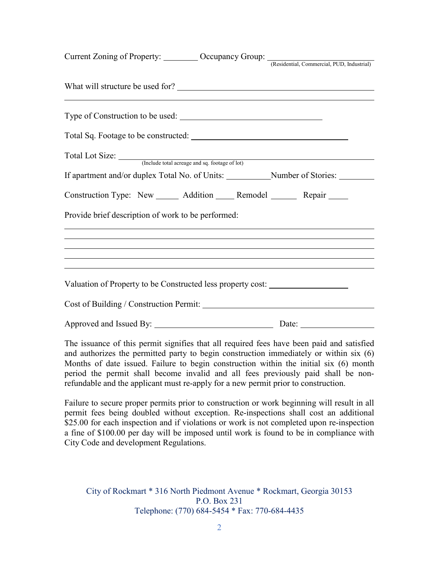| Current Zoning of Property: Current Zoning of Property: Current Zoning of Property: Current Account Commercial, PUD, Industrial) |  |
|----------------------------------------------------------------------------------------------------------------------------------|--|
|                                                                                                                                  |  |
| What will structure be used for?                                                                                                 |  |
|                                                                                                                                  |  |
|                                                                                                                                  |  |
| Total Lot Size: <u>(Include total acreage and sq. footage of lot</u> )                                                           |  |
|                                                                                                                                  |  |
| Construction Type: New ______ Addition _____ Remodel _______ Repair _____                                                        |  |
| Provide brief description of work to be performed:                                                                               |  |
|                                                                                                                                  |  |
|                                                                                                                                  |  |
|                                                                                                                                  |  |
| Valuation of Property to be Constructed less property cost: ____________________                                                 |  |
|                                                                                                                                  |  |
|                                                                                                                                  |  |

The issuance of this permit signifies that all required fees have been paid and satisfied and authorizes the permitted party to begin construction immediately or within six (6) Months of date issued. Failure to begin construction within the initial six (6) month period the permit shall become invalid and all fees previously paid shall be nonrefundable and the applicant must re-apply for a new permit prior to construction.

Failure to secure proper permits prior to construction or work beginning will result in all permit fees being doubled without exception. Re-inspections shall cost an additional \$25.00 for each inspection and if violations or work is not completed upon re-inspection a fine of \$100.00 per day will be imposed until work is found to be in compliance with City Code and development Regulations.

City of Rockmart \* 316 North Piedmont Avenue \* Rockmart, Georgia 30153 P.O. Box 231 Telephone: (770) 684-5454 \* Fax: 770-684-4435